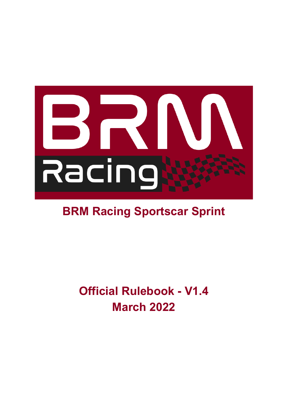

# **BRM Racing Sportscar Sprint**

**Official Rulebook - V1.4 March 2022**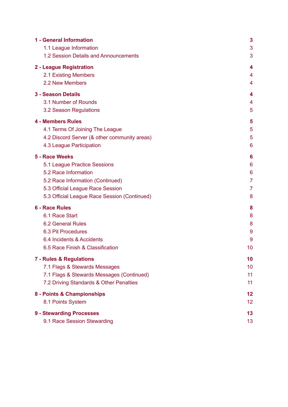| 1 - General Information                      | 3              |
|----------------------------------------------|----------------|
| 1.1 League Information                       | 3              |
| 1.2 Session Details and Announcements        | 3              |
| 2 - League Registration                      | 4              |
| 2.1 Existing Members                         | 4              |
| 2.2 New Members                              | 4              |
| <b>3 - Season Details</b>                    | 4              |
| 3.1 Number of Rounds                         | 4              |
| 3.2 Season Regulations                       | 5              |
| <b>4 - Members Rules</b>                     | 5              |
| 4.1 Terms Of Joining The League              | 5              |
| 4.2 Discord Server (& other community areas) | 5              |
| 4.3 League Participation                     | 6              |
| 5 - Race Weeks                               | 6              |
| 5.1 League Practice Sessions                 | 6              |
| 5.2 Race Information                         | 6              |
| 5.2 Race Information (Continued)             | $\overline{7}$ |
| 5.3 Official League Race Session             | $\overline{7}$ |
| 5.3 Official League Race Session (Continued) | 8              |
| <b>6 - Race Rules</b>                        | 8              |
| 6.1 Race Start                               | 8              |
| <b>6.2 General Rules</b>                     | 8              |
| 6.3 Pit Procedures                           | 9              |
| 6.4 Incidents & Accidents                    | 9              |
| 6.5 Race Finish & Classification             | 10             |
| 7 - Rules & Regulations                      | 10             |
| 7.1 Flags & Stewards Messages                | 10             |
| 7.1 Flags & Stewards Messages (Continued)    | 11             |
| 7.2 Driving Standards & Other Penalties      | 11             |
| 8 - Points & Championships                   | 12             |
| 8.1 Points System                            | 12             |
| 9 - Stewarding Processes                     | 13             |
| 9.1 Race Session Stewarding                  | 13             |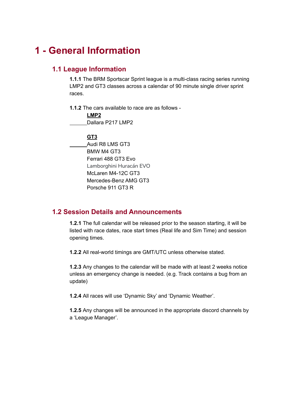## <span id="page-2-1"></span><span id="page-2-0"></span>**1 - General Information**

### **1.1 League Information**

**1.1.1** The BRM Sportscar Sprint league is a multi-class racing series running LMP2 and GT3 classes across a calendar of 90 minute single driver sprint races.

**1.1.2** The cars available to race are as follows -

**LMP2** Dallara P217 LMP2

**GT3**

Audi R8 LMS GT3 BMW M4 GT3 Ferrari 488 GT3 Evo Lamborghini Huracán EVO McLaren M4-12C GT3 Mercedes-Benz AMG GT3 Porsche 911 GT3 R

### <span id="page-2-2"></span>**1.2 Session Details and Announcements**

**1.2.1** The full calendar will be released prior to the season starting, it will be listed with race dates, race start times (Real life and Sim Time) and session opening times.

**1.2.2** All real-world timings are GMT/UTC unless otherwise stated.

**1.2.3** Any changes to the calendar will be made with at least 2 weeks notice unless an emergency change is needed. (e.g. Track contains a bug from an update)

**1.2.4** All races will use 'Dynamic Sky' and 'Dynamic Weather'.

**1.2.5** Any changes will be announced in the appropriate discord channels by a 'League Manager'.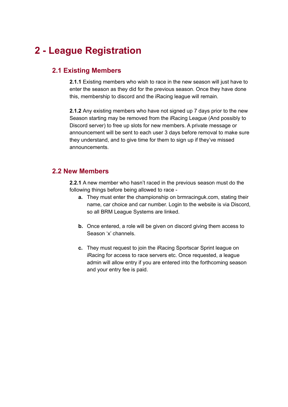## <span id="page-3-1"></span><span id="page-3-0"></span>**2 - League Registration**

### **2.1 Existing Members**

**2.1.1** Existing members who wish to race in the new season will just have to enter the season as they did for the previous season. Once they have done this, membership to discord and the iRacing league will remain.

**2.1.2** Any existing members who have not signed up 7 days prior to the new Season starting may be removed from the iRacing League (And possibly to Discord server) to free up slots for new members. A private message or announcement will be sent to each user 3 days before removal to make sure they understand, and to give time for them to sign up if they've missed announcements.

### <span id="page-3-2"></span>**2.2 New Members**

**2.2.1** A new member who hasn't raced in the previous season must do the following things before being allowed to race -

- **a.** They must enter the championship on brmracinguk.com, stating their name, car choice and car number. Login to the website is via Discord, so all BRM League Systems are linked.
- **b.** Once entered, a role will be given on discord giving them access to Season 'x' channels.
- **c.** They must request to join the iRacing Sportscar Sprint league on iRacing for access to race servers etc. Once requested, a league admin will allow entry if you are entered into the forthcoming season and your entry fee is paid.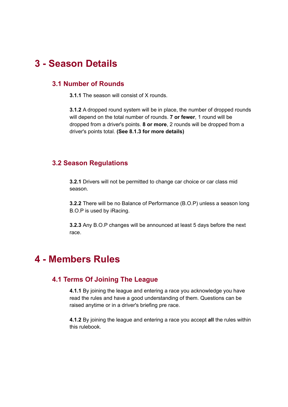## <span id="page-4-0"></span>**3 - Season Details**

### **3.1 Number of Rounds**

**3.1.1** The season will consist of X rounds.

**3.1.2** A dropped round system will be in place, the number of dropped rounds will depend on the total number of rounds. **7 or fewer**, 1 round will be dropped from a driver's points. **8 or more**, 2 rounds will be dropped from a driver's points total. **(See 8.1.3 for more details)**

### <span id="page-4-1"></span>**3.2 Season Regulations**

**3.2.1** Drivers will not be permitted to change car choice or car class mid season.

**3.2.2** There will be no Balance of Performance (B.O.P) unless a season long B.O.P is used by iRacing.

**3.2.3** Any B.O.P changes will be announced at least 5 days before the next race.

### <span id="page-4-3"></span><span id="page-4-2"></span>**4 - Members Rules**

### **4.1 Terms Of Joining The League**

**4.1.1** By joining the league and entering a race you acknowledge you have read the rules and have a good understanding of them. Questions can be raised anytime or in a driver's briefing pre race.

**4.1.2** By joining the league and entering a race you accept **all** the rules within this rulebook.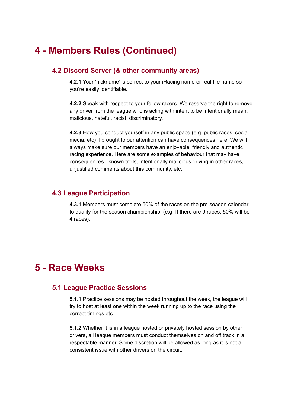## <span id="page-5-0"></span>**4 - Members Rules (Continued)**

### **4.2 Discord Server (& other community areas)**

**4.2.1** Your 'nickname' is correct to your iRacing name or real-life name so you're easily identifiable.

**4.2.2** Speak with respect to your fellow racers. We reserve the right to remove any driver from the league who is acting with intent to be intentionally mean, malicious, hateful, racist, discriminatory.

**4.2.3** How you conduct yourself in any public space,(e.g. public races, social media, etc) if brought to our attention can have consequences here. We will always make sure our members have an enjoyable, friendly and authentic racing experience. Here are some examples of behaviour that may have consequences - known trolls, intentionally malicious driving in other races, unjustified comments about this community, etc.

#### <span id="page-5-1"></span>**4.3 League Participation**

**4.3.1** Members must complete 50% of the races on the pre-season calendar to qualify for the season championship. (e.g. If there are 9 races, 50% will be 4 races).

### <span id="page-5-3"></span><span id="page-5-2"></span>**5 - Race Weeks**

### **5.1 League Practice Sessions**

**5.1.1** Practice sessions may be hosted throughout the week, the league will try to host at least one within the week running up to the race using the correct timings etc.

**5.1.2** Whether it is in a league hosted or privately hosted session by other drivers, all league members must conduct themselves on and off track in a respectable manner. Some discretion will be allowed as long as it is not a consistent issue with other drivers on the circuit.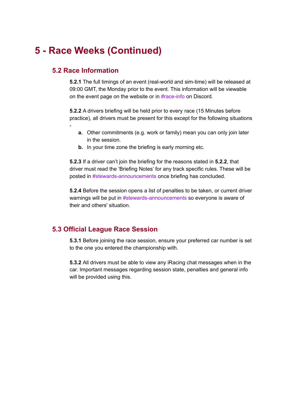## <span id="page-6-0"></span>**5 - Race Weeks (Continued)**

### **5.2 Race Information**

-

**5.2.1** The full timings of an event (real-world and sim-time) will be released at 09:00 GMT, the Monday prior to the event. This information will be viewable on the event page on the website or in #race-info on Discord.

**5.2.2** A drivers briefing will be held prior to every race (15 Minutes before practice), all drivers must be present for this except for the following situations

- **a.** Other commitments (e.g. work or family) mean you can only join later in the session.
- **b.** In your time zone the briefing is early morning etc.

**5.2.3** If a driver can't join the briefing for the reasons stated in **5.2.2**, that driver must read the 'Briefing Notes' for any track specific rules. These will be posted in #stewards-announcements once briefing has concluded.

**5.2.4** Before the session opens a list of penalties to be taken, or current driver warnings will be put in #stewards-announcements so everyone is aware of their and others' situation.

### <span id="page-6-1"></span>**5.3 Official League Race Session**

**5.3.1** Before joining the race session, ensure your preferred car number is set to the one you entered the championship with.

**5.3.2** All drivers must be able to view any iRacing chat messages when in the car. Important messages regarding session state, penalties and general info will be provided using this.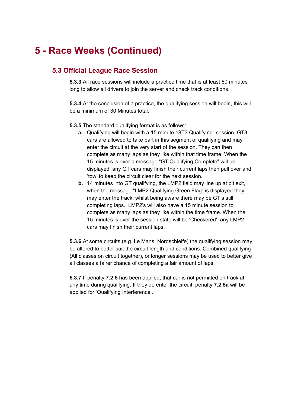## **5 - Race Weeks (Continued)**

### **5.3 Official League Race Session**

**5.3.3** All race sessions will include a practice time that is at least 60 minutes long to allow all drivers to join the server and check track conditions.

**5.3.4** At the conclusion of a practice, the qualifying session will begin, this will be a minimum of 30 Minutes total.

**5.3.5** The standard qualifying format is as follows:

- **a.** Qualifying will begin with a 15 minute "GT3 Qualifying" session. GT3 cars are allowed to take part in this segment of qualifying and may enter the circuit at the very start of the session. They can then complete as many laps as they like within that time frame. When the 15 minutes is over a message "GT Qualifying Complete" will be displayed, any GT cars may finish their current laps then pull over and 'tow' to keep the circuit clear for the next session.
- **b.** 14 minutes into GT qualifying, the LMP2 field may line up at pit exit, when the message "LMP2 Qualifying Green Flag" is displayed they may enter the track, whilst being aware there may be GT's still completing laps. LMP2's will also have a 15 minute session to complete as many laps as they like within the time frame. When the 15 minutes is over the session state will be 'Checkered', any LMP2 cars may finish their current laps.

**5.3.6** At some circuits (e.g. Le Mans, Nordschleife) the qualifying session may be altered to better suit the circuit length and conditions. Combined qualifying (All classes on circuit together), or longer sessions may be used to better give all classes a fairer chance of completing a fair amount of laps.

**5.3.7** If penalty **7.2.5** has been applied, that car is not permitted on track at any time during qualifying. If they do enter the circuit, penalty **7.2.5a** will be applied for 'Qualifying Interference'.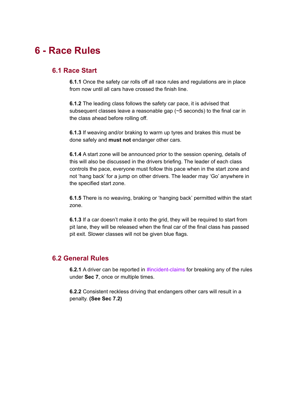### <span id="page-8-1"></span><span id="page-8-0"></span>**6 - Race Rules**

#### **6.1 Race Start**

**6.1.1** Once the safety car rolls off all race rules and regulations are in place from now until all cars have crossed the finish line.

**6.1.2** The leading class follows the safety car pace, it is advised that subsequent classes leave a reasonable gap (~5 seconds) to the final car in the class ahead before rolling off.

**6.1.3** If weaving and/or braking to warm up tyres and brakes this must be done safely and **must not** endanger other cars.

**6.1.4** A start zone will be announced prior to the session opening, details of this will also be discussed in the drivers briefing. The leader of each class controls the pace, everyone must follow this pace when in the start zone and not 'hang back' for a jump on other drivers. The leader may 'Go' anywhere in the specified start zone.

**6.1.5** There is no weaving, braking or 'hanging back' permitted within the start zone.

**6.1.3** If a car doesn't make it onto the grid, they will be required to start from pit lane, they will be released when the final car of the final class has passed pit exit. Slower classes will not be given blue flags.

### <span id="page-8-2"></span>**6.2 General Rules**

**6.2.1** A driver can be reported in **#incident-claims** for breaking any of the rules under **Sec 7**, once or multiple times.

**6.2.2** Consistent reckless driving that endangers other cars will result in a penalty. **(See Sec 7.2)**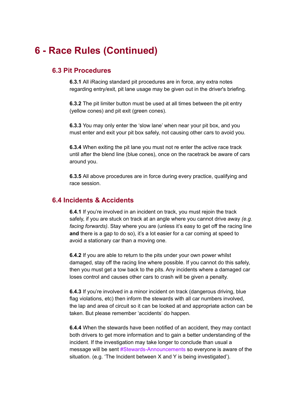## <span id="page-9-0"></span>**6 - Race Rules (Continued)**

### **6.3 Pit Procedures**

**6.3.1** All iRacing standard pit procedures are in force, any extra notes regarding entry/exit, pit lane usage may be given out in the driver's briefing.

**6.3.2** The pit limiter button must be used at all times between the pit entry (yellow cones) and pit exit (green cones).

**6.3.3** You may only enter the 'slow lane' when near your pit box, and you must enter and exit your pit box safely, not causing other cars to avoid you.

**6.3.4** When exiting the pit lane you must not re enter the active race track until after the blend line (blue cones), once on the racetrack be aware of cars around you.

**6.3.5** All above procedures are in force during every practice, qualifying and race session.

### <span id="page-9-1"></span>**6.4 Incidents & Accidents**

**6.4.1** If you're involved in an incident on track, you must rejoin the track safely, if you are stuck on track at an angle where you cannot drive away *(e.g. facing forwards)*. Stay where you are (unless it's easy to get off the racing line **and** there is a gap to do so), it's a lot easier for a car coming at speed to avoid a stationary car than a moving one.

**6.4.2** If you are able to return to the pits under your own power whilst damaged, stay off the racing line where possible. If you cannot do this safely, then you must get a tow back to the pits. Any incidents where a damaged car loses control and causes other cars to crash will be given a penalty.

**6.4.3** If you're involved in a minor incident on track (dangerous driving, blue flag violations, etc) then inform the stewards with all car numbers involved, the lap and area of circuit so it can be looked at and appropriate action can be taken. But please remember 'accidents' do happen.

**6.4.4** When the stewards have been notified of an accident, they may contact both drivers to get more information and to gain a better understanding of the incident. If the investigation may take longer to conclude than usual a message will be sent #Stewards-Announcements so everyone is aware of the situation. (e.g. 'The Incident between X and Y is being investigated').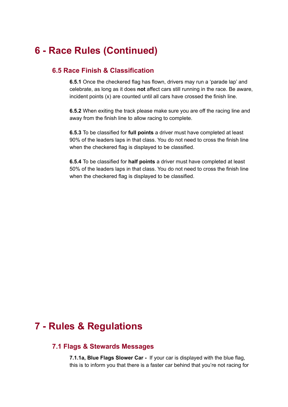## <span id="page-10-0"></span>**6 - Race Rules (Continued)**

### **6.5 Race Finish & Classification**

**6.5.1** Once the checkered flag has flown, drivers may run a 'parade lap' and celebrate, as long as it does **not** affect cars still running in the race. Be aware, incident points (x) are counted until all cars have crossed the finish line.

**6.5.2** When exiting the track please make sure you are off the racing line and away from the finish line to allow racing to complete.

**6.5.3** To be classified for **full points** a driver must have completed at least 90% of the leaders laps in that class. You do not need to cross the finish line when the checkered flag is displayed to be classified.

**6.5.4** To be classified for **half points** a driver must have completed at least 50% of the leaders laps in that class. You do not need to cross the finish line when the checkered flag is displayed to be classified.

### <span id="page-10-1"></span>**7 - Rules & Regulations**

#### **7.1 Flags & Stewards Messages**

**7.1.1a, Blue Flags Slower Car -** If your car is displayed with the blue flag, this is to inform you that there is a faster car behind that you're not racing for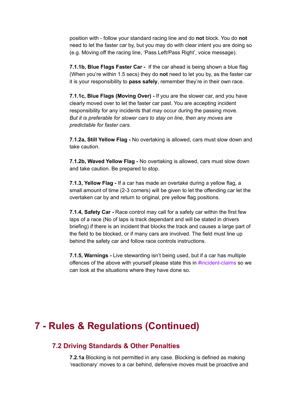position with - follow your standard racing line and do **not** block. You do **not** need to let the faster car by, but you may do with clear intent you are doing so (e.g. Moving off the racing line, 'Pass Left/Pass Right', voice message).

**7.1.1b, Blue Flags Faster Car -** If the car ahead is being shown a blue flag (When you're within 1.5 secs) they do **not** need to let you by, as the faster car it is your responsibility to **pass safely**, remember they're in their own race.

**7.1.1c, Blue Flags (Moving Over) -** If you are the slower car, and you have clearly moved over to let the faster car past. You are accepting incident responsibility for any incidents that may occur during the passing move. *But it is preferable for slower cars to stay on line, then any moves are predictable for faster cars.*

**7.1.2a, Still Yellow Flag -** No overtaking is allowed, cars must slow down and take caution.

**7.1.2b, Waved Yellow Flag -** No overtaking is allowed, cars must slow down and take caution. Be prepared to stop.

**7.1.3, Yellow Flag -** If a car has made an overtake during a yellow flag, a small amount of time (2-3 corners) will be given to let the offending car let the overtaken car by and return to original, pre yellow flag positions.

**7.1.4, Safety Car -** Race control may call for a safety car within the first few laps of a race (No of laps is track dependant and will be stated in drivers briefing) if there is an incident that blocks the track and causes a large part of the field to be blocked, or if many cars are involved. The field must line up behind the safety car and follow race controls instructions.

**7.1.5, Warnings -** Live stewarding isn't being used, but if a car has multiple offences of the above with yourself please state this in #incident-claims so we can look at the situations where they have done so.

### <span id="page-11-0"></span>**7 - Rules & Regulations (Continued)**

#### **7.2 Driving Standards & Other Penalties**

**7.2.1a** Blocking is not permitted in any case. Blocking is defined as making 'reactionary' moves to a car behind, defensive moves must be proactive and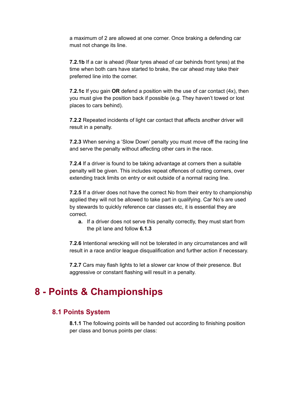a maximum of 2 are allowed at one corner. Once braking a defending car must not change its line.

**7.2.1b** If a car is ahead (Rear tyres ahead of car behinds front tyres) at the time when both cars have started to brake, the car ahead may take their preferred line into the corner.

**7.2.1c** If you gain **OR** defend a position with the use of car contact (4x), then you must give the position back if possible (e.g. They haven't towed or lost places to cars behind).

**7.2.2** Repeated incidents of light car contact that affects another driver will result in a penalty.

**7.2.3** When serving a 'Slow Down' penalty you must move off the racing line and serve the penalty without affecting other cars in the race.

**7.2.4** If a driver is found to be taking advantage at corners then a suitable penalty will be given. This includes repeat offences of cutting corners, over extending track limits on entry or exit outside of a normal racing line.

**7.2.5** If a driver does not have the correct No from their entry to championship applied they will not be allowed to take part in qualifying. Car No's are used by stewards to quickly reference car classes etc, it is essential they are correct.

**a.** If a driver does not serve this penalty correctly, they must start from the pit lane and follow **6.1.3**

**7.2.6** Intentional wrecking will not be tolerated in any circumstances and will result in a race and/or league disqualification and further action if necessary.

**7.2.7** Cars may flash lights to let a slower car know of their presence. But aggressive or constant flashing will result in a penalty.

### <span id="page-12-1"></span><span id="page-12-0"></span>**8 - Points & Championships**

#### **8.1 Points System**

**8.1.1** The following points will be handed out according to finishing position per class and bonus points per class: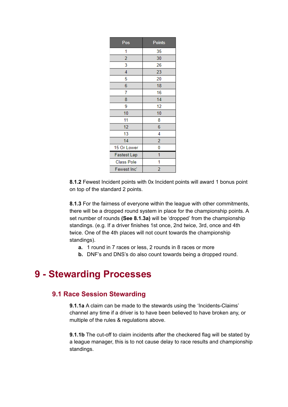| Pos                | <b>Points</b>  |
|--------------------|----------------|
| 1                  | 35             |
| $\overline{2}$     | 30             |
| 3                  | 26             |
| 4                  | 23             |
| 5                  | 20             |
| 6                  | 18             |
| 7                  | 16             |
| 8                  | 14             |
| 9                  | 12             |
| 10                 | 10             |
| 11                 | 8              |
| 12                 | 6              |
| 13                 | 4              |
| 14                 | $\overline{2}$ |
| 15 Or Lower        | 0              |
| <b>Fastest Lap</b> | 1              |
| <b>Class Pole</b>  | 1              |
| Fewest Inc'        | 2              |

**8.1.2** Fewest Incident points with 0x Incident points will award 1 bonus point on top of the standard 2 points.

**8.1.3** For the fairness of everyone within the league with other commitments, there will be a dropped round system in place for the championship points. A set number of rounds **(See 8.1.3a)** will be 'dropped' from the championship standings. (e.g. If a driver finishes 1st once, 2nd twice, 3rd, once and 4th twice. One of the 4th places will not count towards the championship standings).

- **a.** 1 round in 7 races or less, 2 rounds in 8 races or more
- **b.** DNF's and DNS's do also count towards being a dropped round.

### <span id="page-13-1"></span><span id="page-13-0"></span>**9 - Stewarding Processes**

#### **9.1 Race Session Stewarding**

**9.1.1a** A claim can be made to the stewards using the 'Incidents-Claims' channel any time if a driver is to have been believed to have broken any, or multiple of the rules & regulations above.

**9.1.1b** The cut-off to claim incidents after the checkered flag will be stated by a league manager, this is to not cause delay to race results and championship standings.